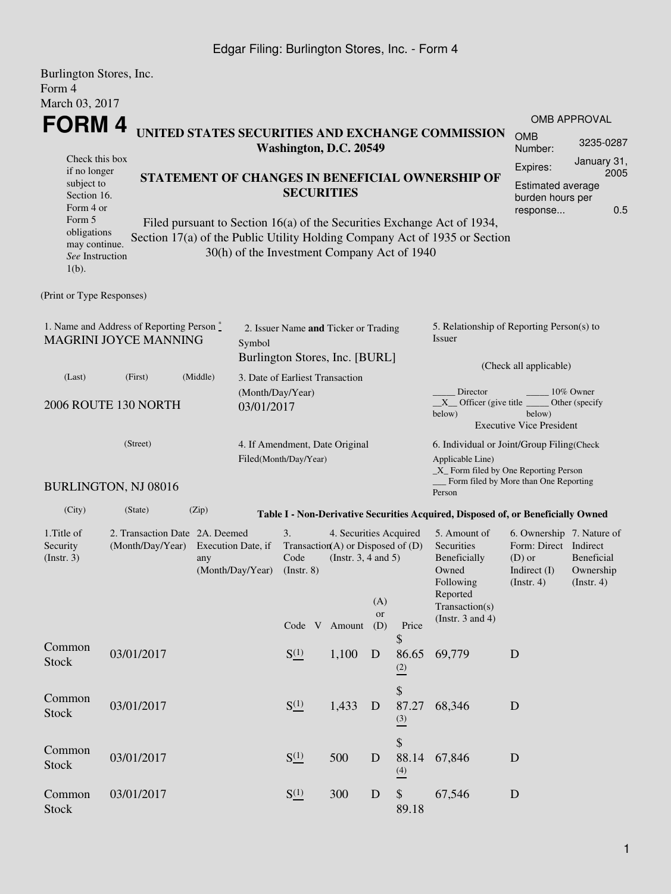### Edgar Filing: Burlington Stores, Inc. - Form 4

| Burlington Stores, Inc.<br>Form 4                                                                                                                                                                                |                                                    |                           |                                                                   |                                                                       |                                                    |             |                                    |                                                                                                                                                            |                                                                                                                                                                                                                               |                             |  |
|------------------------------------------------------------------------------------------------------------------------------------------------------------------------------------------------------------------|----------------------------------------------------|---------------------------|-------------------------------------------------------------------|-----------------------------------------------------------------------|----------------------------------------------------|-------------|------------------------------------|------------------------------------------------------------------------------------------------------------------------------------------------------------|-------------------------------------------------------------------------------------------------------------------------------------------------------------------------------------------------------------------------------|-----------------------------|--|
| March 03, 2017                                                                                                                                                                                                   |                                                    |                           |                                                                   |                                                                       |                                                    |             |                                    |                                                                                                                                                            |                                                                                                                                                                                                                               |                             |  |
| FORM 4                                                                                                                                                                                                           |                                                    |                           |                                                                   |                                                                       |                                                    |             |                                    | UNITED STATES SECURITIES AND EXCHANGE COMMISSION                                                                                                           |                                                                                                                                                                                                                               | OMB APPROVAL                |  |
|                                                                                                                                                                                                                  |                                                    |                           |                                                                   | Washington, D.C. 20549                                                |                                                    |             |                                    |                                                                                                                                                            | <b>OMB</b><br>Number:                                                                                                                                                                                                         | 3235-0287                   |  |
| Check this box<br>if no longer<br>STATEMENT OF CHANGES IN BENEFICIAL OWNERSHIP OF<br>subject to<br>Section 16.<br>Form 4 or<br>Form 5<br>Filed pursuant to Section 16(a) of the Securities Exchange Act of 1934, |                                                    |                           |                                                                   | <b>SECURITIES</b>                                                     |                                                    |             |                                    |                                                                                                                                                            | Expires:<br><b>Estimated average</b><br>burden hours per<br>response                                                                                                                                                          | January 31,<br>2005<br>0.5  |  |
| obligations<br>may continue.<br>See Instruction<br>$1(b)$ .                                                                                                                                                      |                                                    |                           |                                                                   | 30(h) of the Investment Company Act of 1940                           |                                                    |             |                                    | Section 17(a) of the Public Utility Holding Company Act of 1935 or Section                                                                                 |                                                                                                                                                                                                                               |                             |  |
| (Print or Type Responses)                                                                                                                                                                                        |                                                    |                           |                                                                   |                                                                       |                                                    |             |                                    |                                                                                                                                                            |                                                                                                                                                                                                                               |                             |  |
| 1. Name and Address of Reporting Person $\stackrel{*}{\mathbb{L}}$<br>MAGRINI JOYCE MANNING<br>(Middle)                                                                                                          |                                                    |                           | Symbol                                                            | 2. Issuer Name and Ticker or Trading                                  |                                                    |             |                                    | 5. Relationship of Reporting Person(s) to<br>Issuer                                                                                                        |                                                                                                                                                                                                                               |                             |  |
|                                                                                                                                                                                                                  |                                                    |                           | Burlington Stores, Inc. [BURL]<br>3. Date of Earliest Transaction |                                                                       |                                                    |             |                                    | (Check all applicable)                                                                                                                                     |                                                                                                                                                                                                                               |                             |  |
| (Last)                                                                                                                                                                                                           | (First)<br>2006 ROUTE 130 NORTH                    |                           | (Month/Day/Year)<br>03/01/2017                                    |                                                                       |                                                    |             |                                    | Director<br>$X$ Officer (give title $\overline{\phantom{a}}$<br>below)                                                                                     | below)<br><b>Executive Vice President</b>                                                                                                                                                                                     | 10% Owner<br>Other (specify |  |
|                                                                                                                                                                                                                  | (Street)<br><b>BURLINGTON, NJ 08016</b>            |                           |                                                                   | 4. If Amendment, Date Original<br>Filed(Month/Day/Year)               |                                                    |             |                                    | 6. Individual or Joint/Group Filing(Check<br>Applicable Line)<br>_X_ Form filed by One Reporting Person<br>Form filed by More than One Reporting<br>Person |                                                                                                                                                                                                                               |                             |  |
| (City)                                                                                                                                                                                                           | (State)                                            | (Zip)                     |                                                                   |                                                                       |                                                    |             |                                    |                                                                                                                                                            |                                                                                                                                                                                                                               |                             |  |
| 1. Title of<br>Security<br>(Insert. 3)                                                                                                                                                                           | 2. Transaction Date 2A. Deemed<br>(Month/Day/Year) | Execution Date, if<br>any | (Month/Day/Year)                                                  | 3.<br>Transaction(A) or Disposed of $(D)$<br>Code<br>$($ Instr. 8 $)$ | 4. Securities Acquired<br>(Instr. $3, 4$ and $5$ ) | (A)<br>or   |                                    | 5. Amount of<br>Securities<br>Beneficially<br>Owned<br>Following<br>Reported<br>Transaction(s)                                                             | Table I - Non-Derivative Securities Acquired, Disposed of, or Beneficially Owned<br>6. Ownership 7. Nature of<br>Form: Direct Indirect<br>Beneficial<br>$(D)$ or<br>Indirect $(I)$<br>Ownership<br>(Insert. 4)<br>(Insert. 4) |                             |  |
|                                                                                                                                                                                                                  |                                                    |                           |                                                                   | Code V Amount                                                         |                                                    | (D)         | Price<br>\$                        | (Instr. $3$ and $4$ )                                                                                                                                      |                                                                                                                                                                                                                               |                             |  |
| Common<br><b>Stock</b>                                                                                                                                                                                           | 03/01/2017                                         |                           |                                                                   | S(1)                                                                  | 1,100                                              | D           | 86.65<br>(2)                       | 69,779                                                                                                                                                     | D                                                                                                                                                                                                                             |                             |  |
| Common<br>Stock                                                                                                                                                                                                  | 03/01/2017                                         |                           |                                                                   | $S^{(1)}_{-}$                                                         | 1,433                                              | D           | \$<br>87.27<br>$\frac{(3)}{2}$     | 68,346                                                                                                                                                     | D                                                                                                                                                                                                                             |                             |  |
| Common<br><b>Stock</b>                                                                                                                                                                                           | 03/01/2017                                         |                           |                                                                   | S(1)                                                                  | 500                                                | D           | \$<br>88.14<br>$\stackrel{(4)}{=}$ | 67,846                                                                                                                                                     | D                                                                                                                                                                                                                             |                             |  |
| Common<br><b>Stock</b>                                                                                                                                                                                           | 03/01/2017                                         |                           |                                                                   | $S^{(1)}_{-}$                                                         | 300                                                | $\mathbf D$ | \$<br>89.18                        | 67,546                                                                                                                                                     | D                                                                                                                                                                                                                             |                             |  |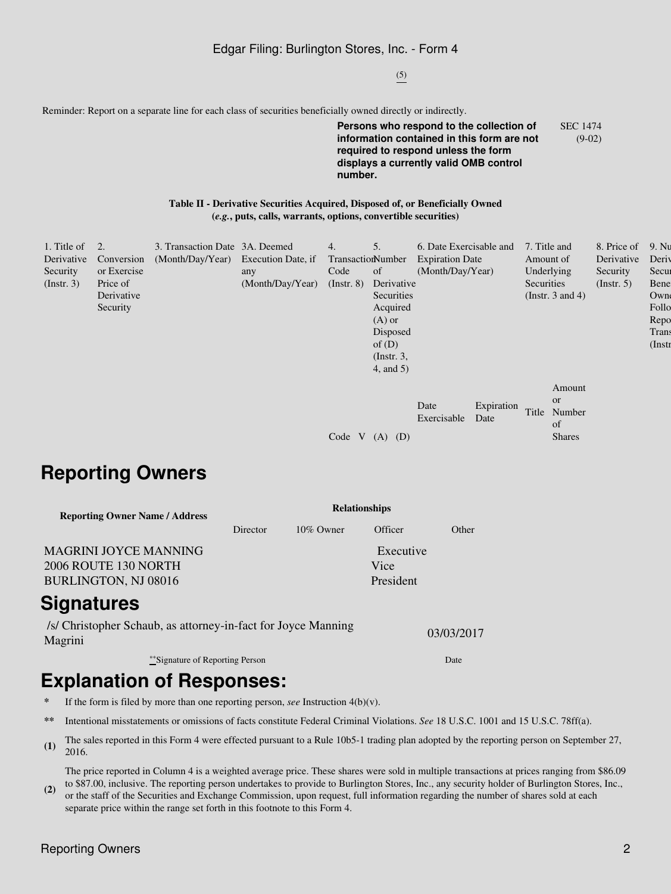#### Edgar Filing: Burlington Stores, Inc. - Form 4

(5)

Reminder: Report on a separate line for each class of securities beneficially owned directly or indirectly.

**Persons who respond to the collection of information contained in this form are not required to respond unless the form displays a currently valid OMB control number.** SEC 1474 (9-02)

#### **Table II - Derivative Securities Acquired, Disposed of, or Beneficially Owned (***e.g.***, puts, calls, warrants, options, convertible securities)**

| 1. Title of      |             | 3. Transaction Date 3A. Deemed      |                  | 4.                | 5.            | 6. Date Exercisable and |                    | 7. Title and          | 8. Price of      | 9. Nu     |
|------------------|-------------|-------------------------------------|------------------|-------------------|---------------|-------------------------|--------------------|-----------------------|------------------|-----------|
| Derivative       | Conversion  | (Month/Day/Year) Execution Date, if |                  | TransactionNumber |               | <b>Expiration Date</b>  |                    | Amount of             | Derivative       | Deriy     |
| Security         | or Exercise |                                     | any              | Code              | <sub>of</sub> | (Month/Day/Year)        |                    | Underlying            | Security         | Secur     |
| $($ Instr. 3 $)$ | Price of    |                                     | (Month/Day/Year) | $($ Instr. $8)$   | Derivative    |                         |                    | Securities            | $($ Instr. 5 $)$ | Bene      |
|                  | Derivative  |                                     |                  |                   | Securities    |                         |                    | (Instr. $3$ and $4$ ) |                  | Owne      |
|                  | Security    |                                     |                  |                   | Acquired      |                         |                    |                       |                  | Follo     |
|                  |             |                                     |                  |                   | $(A)$ or      |                         |                    |                       |                  | Repo      |
|                  |             |                                     |                  |                   | Disposed      |                         |                    |                       |                  | Trans     |
|                  |             |                                     |                  |                   | of $(D)$      |                         |                    |                       |                  | $($ Instr |
|                  |             |                                     |                  |                   | $($ Instr. 3, |                         |                    |                       |                  |           |
|                  |             |                                     |                  |                   | 4, and 5)     |                         |                    |                       |                  |           |
|                  |             |                                     |                  |                   |               |                         |                    | Amount                |                  |           |
|                  |             |                                     |                  |                   |               |                         |                    |                       |                  |           |
|                  |             |                                     |                  |                   |               | Date                    | Expiration<br>Date | or<br>Title<br>Number |                  |           |
|                  |             |                                     |                  |                   |               | Exercisable             |                    | of                    |                  |           |
|                  |             |                                     |                  | Code V            | $(A)$ $(D)$   |                         |                    | <b>Shares</b>         |                  |           |
|                  |             |                                     |                  |                   |               |                         |                    |                       |                  |           |

## **Reporting Owners**

| <b>Reporting Owner Name / Address</b>         | <b>Relationships</b> |              |                   |       |  |  |  |
|-----------------------------------------------|----------------------|--------------|-------------------|-------|--|--|--|
|                                               | Director             | $10\%$ Owner | Officer           | Other |  |  |  |
| MAGRINI JOYCE MANNING<br>2006 ROUTE 130 NORTH |                      |              | Executive<br>Vice |       |  |  |  |
| <b>BURLINGTON, NJ 08016</b>                   |                      |              | President         |       |  |  |  |
|                                               |                      |              |                   |       |  |  |  |

## **Signatures**

/s/ Christopher Schaub, as attorney-in-fact for Joyce Manning Magrini 03/03/2017

\*\*Signature of Reporting Person Date

# **Explanation of Responses:**

- **\*** If the form is filed by more than one reporting person, *see* Instruction 4(b)(v).
- **\*\*** Intentional misstatements or omissions of facts constitute Federal Criminal Violations. *See* 18 U.S.C. 1001 and 15 U.S.C. 78ff(a).
- **(1)** The sales reported in this Form 4 were effected pursuant to a Rule 10b5-1 trading plan adopted by the reporting person on September 27, 2016.

The price reported in Column 4 is a weighted average price. These shares were sold in multiple transactions at prices ranging from \$86.09 to \$87.00, inclusive. The reporting person undertakes to provide to Burlington Stores, Inc., any security holder of Burlington Stores, Inc.,

**(2)** or the staff of the Securities and Exchange Commission, upon request, full information regarding the number of shares sold at each separate price within the range set forth in this footnote to this Form 4.